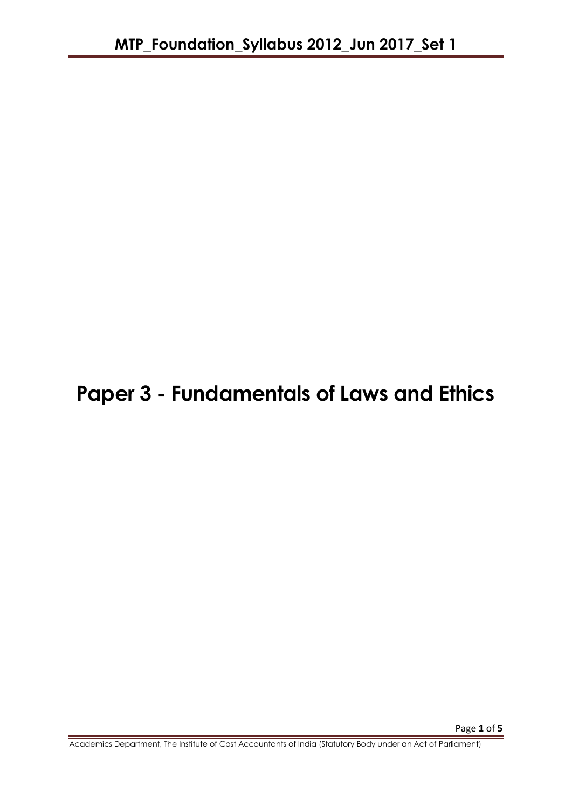# **Paper 3 - Fundamentals of Laws and Ethics**

Academics Department, The Institute of Cost Accountants of India (Statutory Body under an Act of Parliament)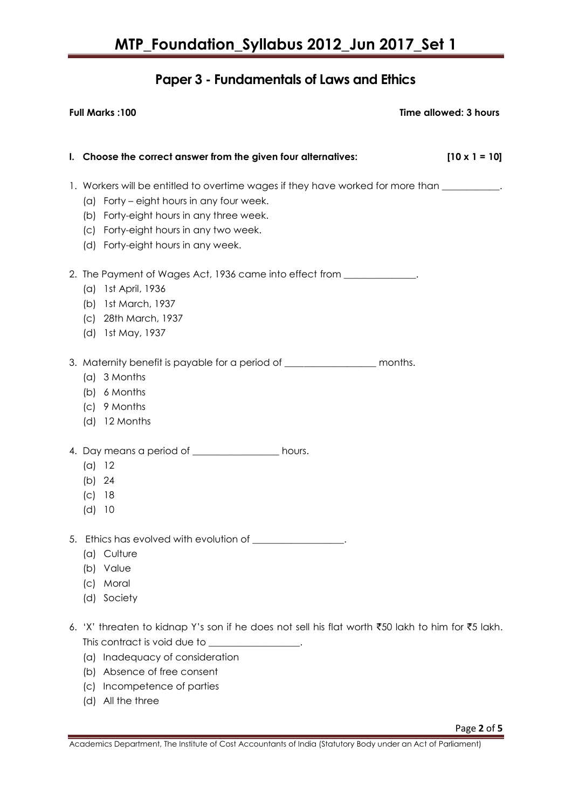## **Paper 3 - Fundamentals of Laws and Ethics**

| <b>Full Marks: 100</b> |                                                                                                                                                                                                                                                                                    | Time allowed: 3 hours |
|------------------------|------------------------------------------------------------------------------------------------------------------------------------------------------------------------------------------------------------------------------------------------------------------------------------|-----------------------|
|                        | I. Choose the correct answer from the given four alternatives:                                                                                                                                                                                                                     | $[10 \times 1 = 10]$  |
|                        | 1. Workers will be entitled to overtime wages if they have worked for more than _________.<br>(a) Forty – eight hours in any four week.<br>(b) Forty-eight hours in any three week.<br>(c) Forty-eight hours in any two week.<br>(d) Forty-eight hours in any week.                |                       |
|                        | 2. The Payment of Wages Act, 1936 came into effect from _____________.<br>1st April, 1936<br>(a)<br>1st March, 1937<br>(b)<br>(c) 28th March, 1937<br>1st May, 1937<br>(d)                                                                                                         |                       |
|                        | 3. Maternity benefit is payable for a period of ____________________ months.<br>(a) 3 Months<br>(b) 6 Months<br>(c) 9 Months<br>(d) 12 Months                                                                                                                                      |                       |
|                        | 4. Day means a period of ___________________ hours.<br>(a) 12<br>(b) 24<br>(c)<br>18<br>(d)<br>10                                                                                                                                                                                  |                       |
| 5.                     | Ethics has evolved with evolution of __________________.<br>Culture<br>(a)<br>Value<br>(b)<br>Moral<br>$\mathcal{L}$<br>(d) Society                                                                                                                                                |                       |
|                        | 6. 'X' threaten to kidnap Y's son if he does not sell his flat worth ₹50 lakh to him for ₹5 lakh.<br>This contract is void due to ________________.<br>(a) Inadequacy of consideration<br>Absence of free consent<br>(b)<br>Incompetence of parties<br>(C)<br>All the three<br>(d) |                       |

Academics Department, The Institute of Cost Accountants of India (Statutory Body under an Act of Parliament)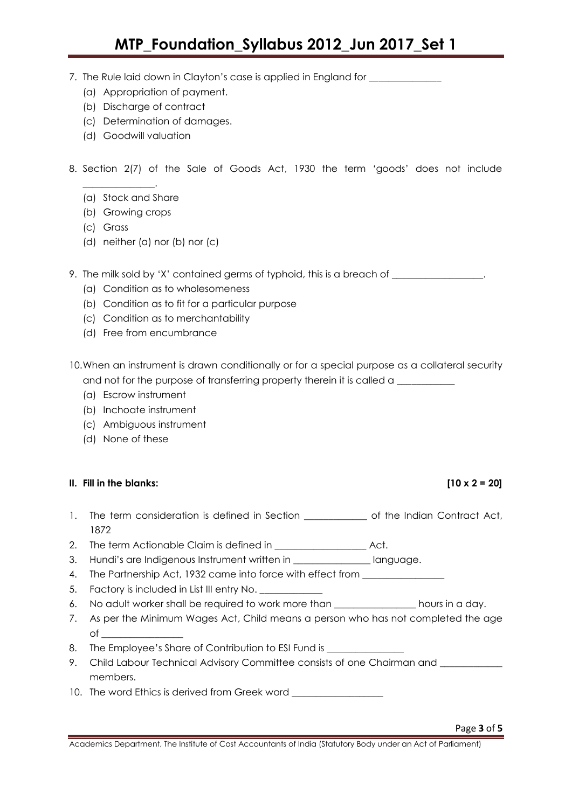## **MTP\_Foundation\_Syllabus 2012\_Jun 2017\_Set 1**

- 7. The Rule laid down in Clayton's case is applied in England for \_\_\_\_\_\_\_\_\_\_\_\_\_\_
	- (a) Appropriation of payment.
	- (b) Discharge of contract
	- (c) Determination of damages.
	- (d) Goodwill valuation
- 8. Section 2(7) of the Sale of Goods Act, 1930 the term 'goods' does not include
	- (a) Stock and Share

\_\_\_\_\_\_\_\_\_\_\_\_\_\_\_.

- (b) Growing crops
- (c) Grass
- (d) neither (a) nor (b) nor (c)
- 9. The milk sold by 'X' contained germs of typhoid, this is a breach of \_\_\_\_\_\_\_\_
	- (a) Condition as to wholesomeness
	- (b) Condition as to fit for a particular purpose
	- (c) Condition as to merchantability
	- (d) Free from encumbrance
- 10.When an instrument is drawn conditionally or for a special purpose as a collateral security and not for the purpose of transferring property therein it is called a \_\_\_\_\_\_\_\_
	- (a) Escrow instrument
	- (b) Inchoate instrument
	- (c) Ambiguous instrument
	- (d) None of these

#### **II. Fill in the blanks: [10 x 2 = 20]**

- 1. The term consideration is defined in Section **the Section** of the Indian Contract Act, 1872
- 2. The term Actionable Claim is defined in \_\_\_\_\_\_\_\_\_\_\_\_\_\_\_\_\_\_\_\_\_\_\_\_ Act.
- 3. Hundi's are Indigenous Instrument written in \_\_\_\_\_\_\_\_\_\_\_\_\_\_\_\_\_ language.
- 4. The Partnership Act, 1932 came into force with effect from \_\_\_\_\_\_\_\_\_\_\_\_\_\_\_\_\_\_
- 5. Factory is included in List III entry No. \_\_\_\_\_\_\_\_\_
- 6. No adult worker shall be required to work more than \_\_\_\_\_\_\_\_\_\_\_\_\_\_\_\_\_ hours in a day.
- 7. As per the Minimum Wages Act, Child means a person who has not completed the age  $\circ$ f $\qquad \qquad$
- 8. The Employee's Share of Contribution to ESI Fund is
- 9. Child Labour Technical Advisory Committee consists of one Chairman and \_\_\_\_\_\_\_ members.
- 10. The word Ethics is derived from Greek word \_\_\_\_\_\_\_\_\_\_\_\_\_\_\_\_\_\_\_\_\_\_\_\_\_\_\_\_\_\_\_\_\_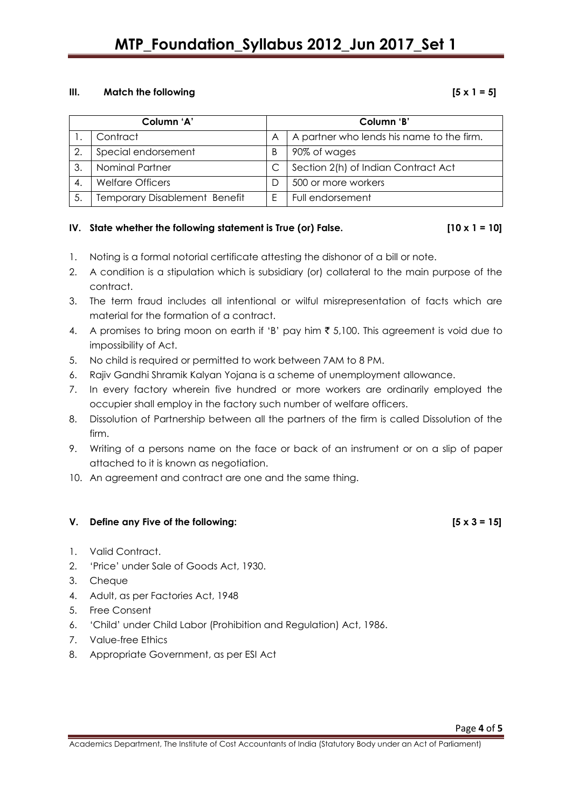## **MTP\_Foundation\_Syllabus 2012\_Jun 2017\_Set 1**

#### **III. Match the following [5 x 1 = 5]**

| Column 'A' |                                      | Column 'B' |                                           |
|------------|--------------------------------------|------------|-------------------------------------------|
|            | Contract                             | A          | A partner who lends his name to the firm. |
| 2.         | Special endorsement                  | B          | 90% of wages                              |
| 3          | Nominal Partner                      |            | Section 2(h) of Indian Contract Act       |
|            | <b>Welfare Officers</b>              |            | 500 or more workers                       |
|            | <b>Temporary Disablement Benefit</b> |            | Full endorsement                          |

### IV. State whether the following statement is True (or) False.  $[10 \times 1 = 10]$

- 1. Noting is a formal notorial certificate attesting the dishonor of a bill or note.
- 2. A condition is a stipulation which is subsidiary (or) collateral to the main purpose of the contract.
- 3. The term fraud includes all intentional or wilful misrepresentation of facts which are material for the formation of a contract.
- 4. A promises to bring moon on earth if 'B' pay him  $\bar{\tau}$  5,100. This agreement is void due to impossibility of Act.
- 5. No child is required or permitted to work between 7AM to 8 PM.
- 6. Rajiv Gandhi Shramik Kalyan Yojana is a scheme of unemployment allowance.
- 7. In every factory wherein five hundred or more workers are ordinarily employed the occupier shall employ in the factory such number of welfare officers.
- 8. Dissolution of Partnership between all the partners of the firm is called Dissolution of the firm.
- 9. Writing of a persons name on the face or back of an instrument or on a slip of paper attached to it is known as negotiation.
- 10. An agreement and contract are one and the same thing.

#### **V. Define any Five of the following: [5 x 3 = 15]**

- 1. Valid Contract.
- 2. 'Price' under Sale of Goods Act, 1930.
- 3. Cheque
- 4. Adult, as per Factories Act, 1948
- 5. Free Consent
- 6. 'Child' under Child Labor (Prohibition and Regulation) Act, 1986.
- 7. Value-free Ethics
- 8. Appropriate Government, as per ESI Act